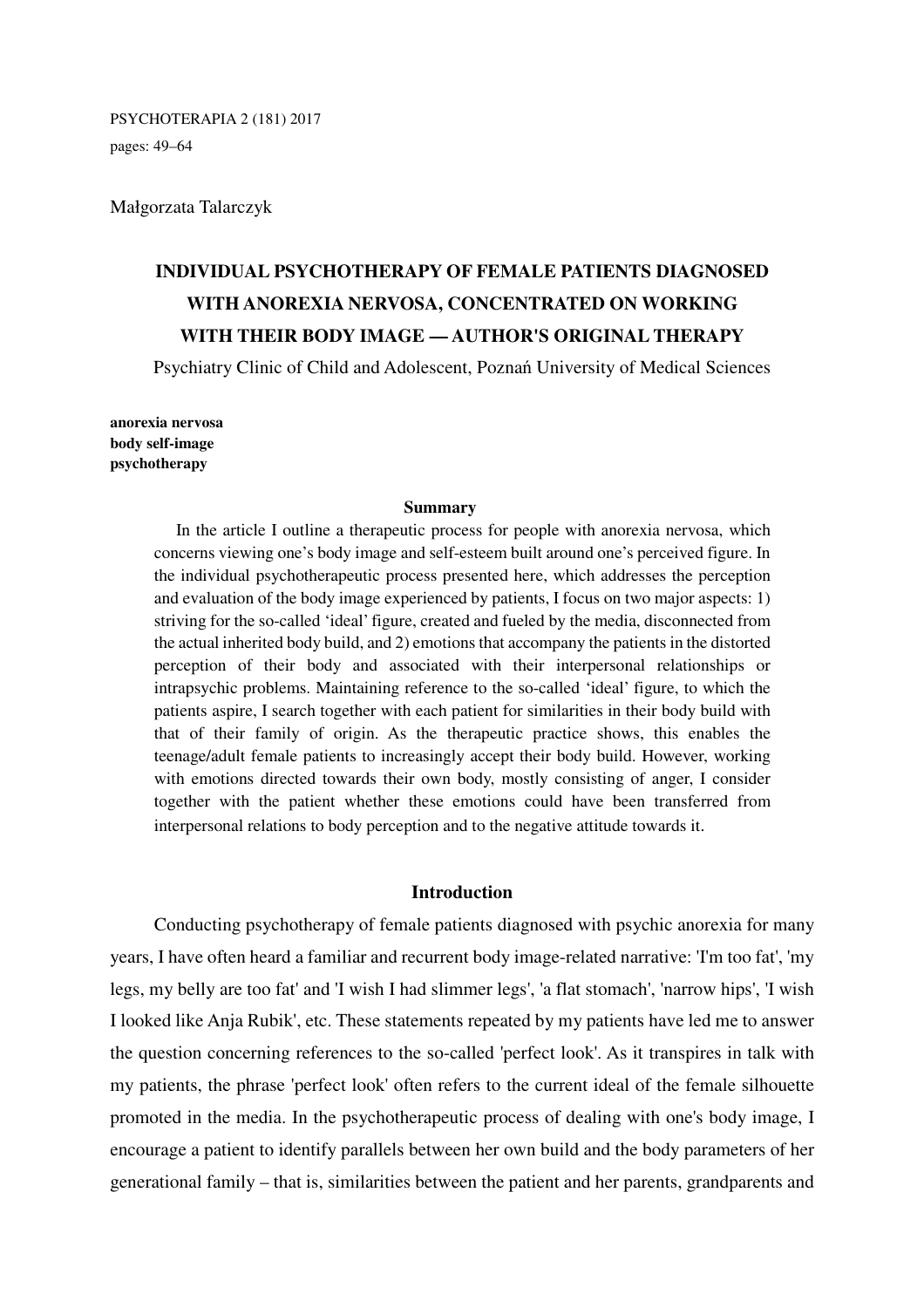PSYCHOTERAPIA 2 (181) 2017

pages: 49–64

Małgorzata Talarczyk

# **INDIVIDUAL PSYCHOTHERAPY OF FEMALE PATIENTS DIAGNOSED WITH ANOREXIA NERVOSA, CONCENTRATED ON WORKING WITH THEIR BODY IMAGE — AUTHOR'S ORIGINAL THERAPY**

Psychiatry Clinic of Child and Adolescent, Poznań University of Medical Sciences

**anorexia nervosa body self-image psychotherapy** 

#### **Summary**

In the article I outline a therapeutic process for people with anorexia nervosa, which concerns viewing one's body image and self-esteem built around one's perceived figure. In the individual psychotherapeutic process presented here, which addresses the perception and evaluation of the body image experienced by patients, I focus on two major aspects: 1) striving for the so-called 'ideal' figure, created and fueled by the media, disconnected from the actual inherited body build, and 2) emotions that accompany the patients in the distorted perception of their body and associated with their interpersonal relationships or intrapsychic problems. Maintaining reference to the so-called 'ideal' figure, to which the patients aspire, I search together with each patient for similarities in their body build with that of their family of origin. As the therapeutic practice shows, this enables the teenage/adult female patients to increasingly accept their body build. However, working with emotions directed towards their own body, mostly consisting of anger, I consider together with the patient whether these emotions could have been transferred from interpersonal relations to body perception and to the negative attitude towards it.

# **Introduction**

Conducting psychotherapy of female patients diagnosed with psychic anorexia for many years, I have often heard a familiar and recurrent body image-related narrative: 'I'm too fat', 'my legs, my belly are too fat' and 'I wish I had slimmer legs', 'a flat stomach', 'narrow hips', 'I wish I looked like Anja Rubik', etc. These statements repeated by my patients have led me to answer the question concerning references to the so-called 'perfect look'. As it transpires in talk with my patients, the phrase 'perfect look' often refers to the current ideal of the female silhouette promoted in the media. In the psychotherapeutic process of dealing with one's body image, I encourage a patient to identify parallels between her own build and the body parameters of her generational family – that is, similarities between the patient and her parents, grandparents and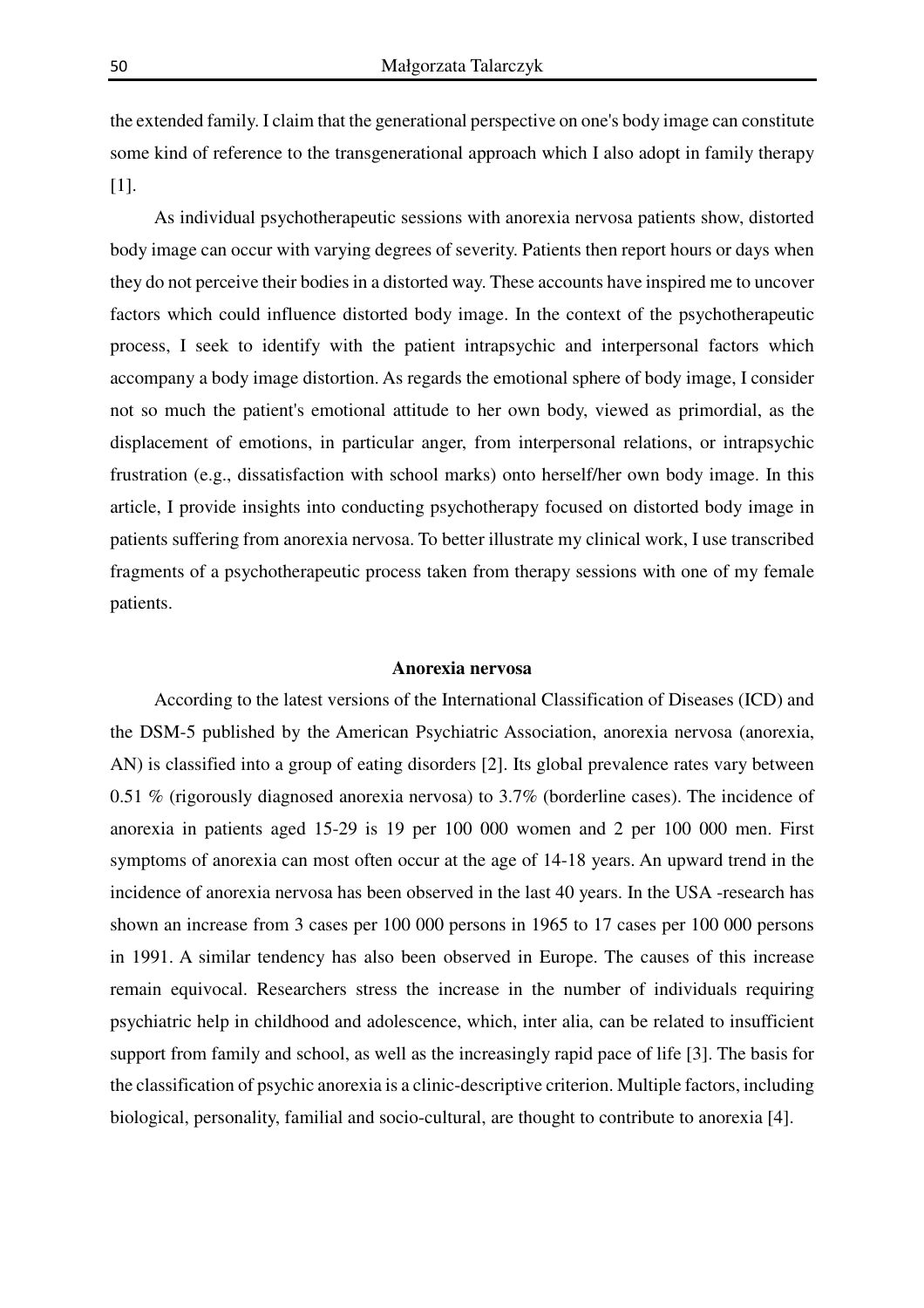the extended family. I claim that the generational perspective on one's body image can constitute some kind of reference to the transgenerational approach which I also adopt in family therapy [1].

As individual psychotherapeutic sessions with anorexia nervosa patients show, distorted body image can occur with varying degrees of severity. Patients then report hours or days when they do not perceive their bodies in a distorted way. These accounts have inspired me to uncover factors which could influence distorted body image. In the context of the psychotherapeutic process, I seek to identify with the patient intrapsychic and interpersonal factors which accompany a body image distortion. As regards the emotional sphere of body image, I consider not so much the patient's emotional attitude to her own body, viewed as primordial, as the displacement of emotions, in particular anger, from interpersonal relations, or intrapsychic frustration (e.g., dissatisfaction with school marks) onto herself/her own body image. In this article, I provide insights into conducting psychotherapy focused on distorted body image in patients suffering from anorexia nervosa. To better illustrate my clinical work, I use transcribed fragments of a psychotherapeutic process taken from therapy sessions with one of my female patients.

#### **Anorexia nervosa**

According to the latest versions of the International Classification of Diseases (ICD) and the DSM-5 published by the American Psychiatric Association, anorexia nervosa (anorexia, AN) is classified into a group of eating disorders [2]. Its global prevalence rates vary between 0.51 % (rigorously diagnosed anorexia nervosa) to 3.7% (borderline cases). The incidence of anorexia in patients aged 15-29 is 19 per 100 000 women and 2 per 100 000 men. First symptoms of anorexia can most often occur at the age of 14-18 years. An upward trend in the incidence of anorexia nervosa has been observed in the last 40 years. In the USA -research has shown an increase from 3 cases per 100 000 persons in 1965 to 17 cases per 100 000 persons in 1991. A similar tendency has also been observed in Europe. The causes of this increase remain equivocal. Researchers stress the increase in the number of individuals requiring psychiatric help in childhood and adolescence, which, inter alia, can be related to insufficient support from family and school, as well as the increasingly rapid pace of life [3]. The basis for the classification of psychic anorexia is a clinic-descriptive criterion. Multiple factors, including biological, personality, familial and socio-cultural, are thought to contribute to anorexia [4].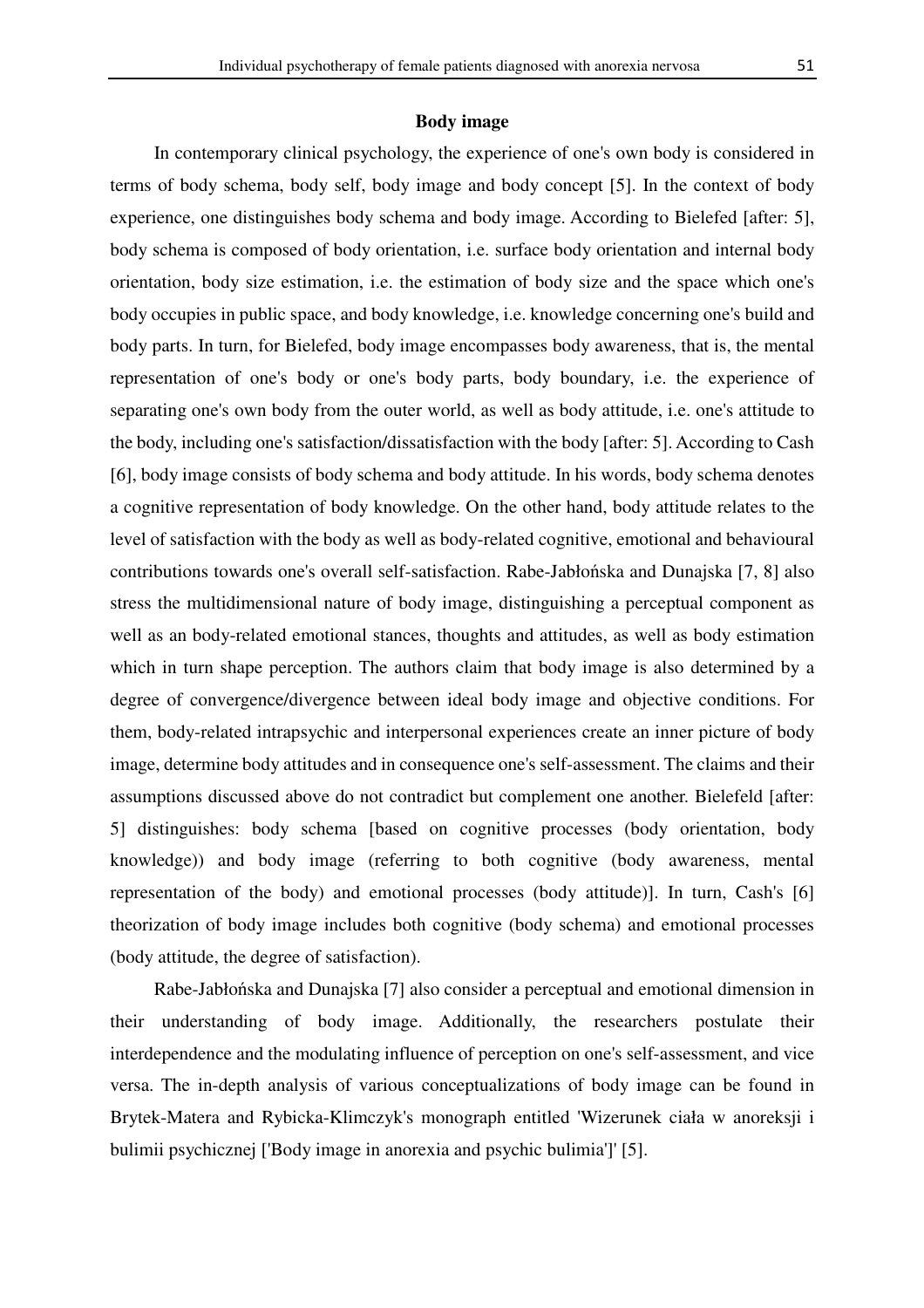### **Body image**

In contemporary clinical psychology, the experience of one's own body is considered in terms of body schema, body self, body image and body concept [5]. In the context of body experience, one distinguishes body schema and body image. According to Bielefed [after: 5], body schema is composed of body orientation, i.e. surface body orientation and internal body orientation, body size estimation, i.e. the estimation of body size and the space which one's body occupies in public space, and body knowledge, i.e. knowledge concerning one's build and body parts. In turn, for Bielefed, body image encompasses body awareness, that is, the mental representation of one's body or one's body parts, body boundary, i.e. the experience of separating one's own body from the outer world, as well as body attitude, i.e. one's attitude to the body, including one's satisfaction/dissatisfaction with the body [after: 5]. According to Cash [6], body image consists of body schema and body attitude. In his words, body schema denotes a cognitive representation of body knowledge. On the other hand, body attitude relates to the level of satisfaction with the body as well as body-related cognitive, emotional and behavioural contributions towards one's overall self-satisfaction. Rabe-Jabłońska and Dunajska [7, 8] also stress the multidimensional nature of body image, distinguishing a perceptual component as well as an body-related emotional stances, thoughts and attitudes, as well as body estimation which in turn shape perception. The authors claim that body image is also determined by a degree of convergence/divergence between ideal body image and objective conditions. For them, body-related intrapsychic and interpersonal experiences create an inner picture of body image, determine body attitudes and in consequence one's self-assessment. The claims and their assumptions discussed above do not contradict but complement one another. Bielefeld [after: 5] distinguishes: body schema [based on cognitive processes (body orientation, body knowledge)) and body image (referring to both cognitive (body awareness, mental representation of the body) and emotional processes (body attitude)]. In turn, Cash's [6] theorization of body image includes both cognitive (body schema) and emotional processes (body attitude, the degree of satisfaction).

Rabe-Jabłońska and Dunajska [7] also consider a perceptual and emotional dimension in their understanding of body image. Additionally, the researchers postulate their interdependence and the modulating influence of perception on one's self-assessment, and vice versa. The in-depth analysis of various conceptualizations of body image can be found in Brytek-Matera and Rybicka-Klimczyk's monograph entitled 'Wizerunek ciała w anoreksji i bulimii psychicznej ['Body image in anorexia and psychic bulimia']' [5].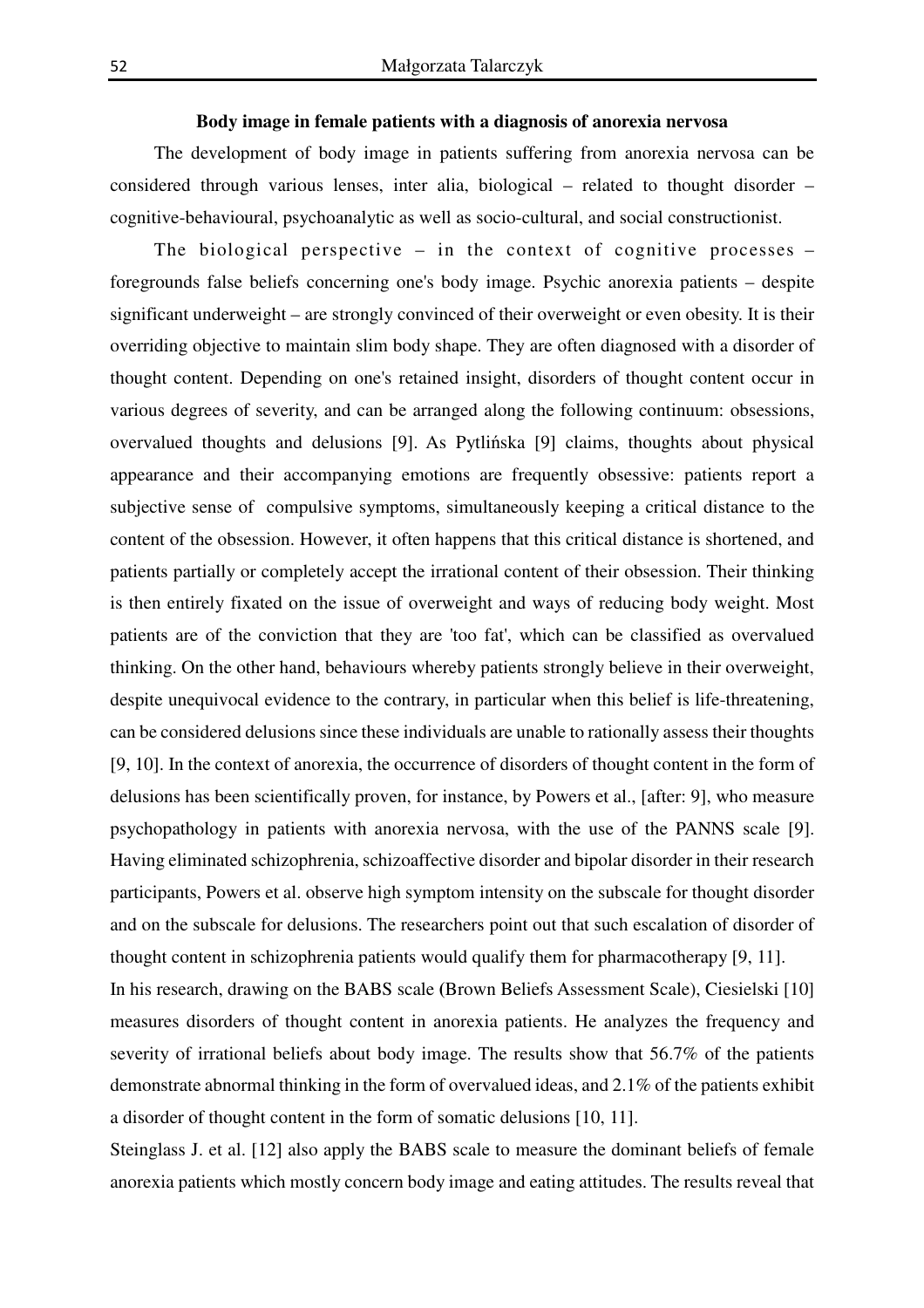## **Body image in female patients with a diagnosis of anorexia nervosa**

The development of body image in patients suffering from anorexia nervosa can be considered through various lenses, inter alia, biological – related to thought disorder – cognitive-behavioural, psychoanalytic as well as socio-cultural, and social constructionist.

The biological perspective  $-$  in the context of cognitive processes  $$ foregrounds false beliefs concerning one's body image. Psychic anorexia patients – despite significant underweight – are strongly convinced of their overweight or even obesity. It is their overriding objective to maintain slim body shape. They are often diagnosed with a disorder of thought content. Depending on one's retained insight, disorders of thought content occur in various degrees of severity, and can be arranged along the following continuum: obsessions, overvalued thoughts and delusions [9]. As Pytlińska [9] claims, thoughts about physical appearance and their accompanying emotions are frequently obsessive: patients report a subjective sense of compulsive symptoms, simultaneously keeping a critical distance to the content of the obsession. However, it often happens that this critical distance is shortened, and patients partially or completely accept the irrational content of their obsession. Their thinking is then entirely fixated on the issue of overweight and ways of reducing body weight. Most patients are of the conviction that they are 'too fat', which can be classified as overvalued thinking. On the other hand, behaviours whereby patients strongly believe in their overweight, despite unequivocal evidence to the contrary, in particular when this belief is life-threatening, can be considered delusions since these individuals are unable to rationally assess their thoughts [9, 10]. In the context of anorexia, the occurrence of disorders of thought content in the form of delusions has been scientifically proven, for instance, by Powers et al., [after: 9], who measure psychopathology in patients with anorexia nervosa, with the use of the PANNS scale [9]. Having eliminated schizophrenia, schizoaffective disorder and bipolar disorder in their research participants, Powers et al. observe high symptom intensity on the subscale for thought disorder and on the subscale for delusions. The researchers point out that such escalation of disorder of thought content in schizophrenia patients would qualify them for pharmacotherapy [9, 11]. In his research, drawing on the BABS scale **(**Brown Beliefs Assessment Scale), Ciesielski [10] measures disorders of thought content in anorexia patients. He analyzes the frequency and severity of irrational beliefs about body image. The results show that 56.7% of the patients demonstrate abnormal thinking in the form of overvalued ideas, and 2.1% of the patients exhibit a disorder of thought content in the form of somatic delusions [10, 11].

Steinglass J. et al. [12] also apply the BABS scale to measure the dominant beliefs of female anorexia patients which mostly concern body image and eating attitudes. The results reveal that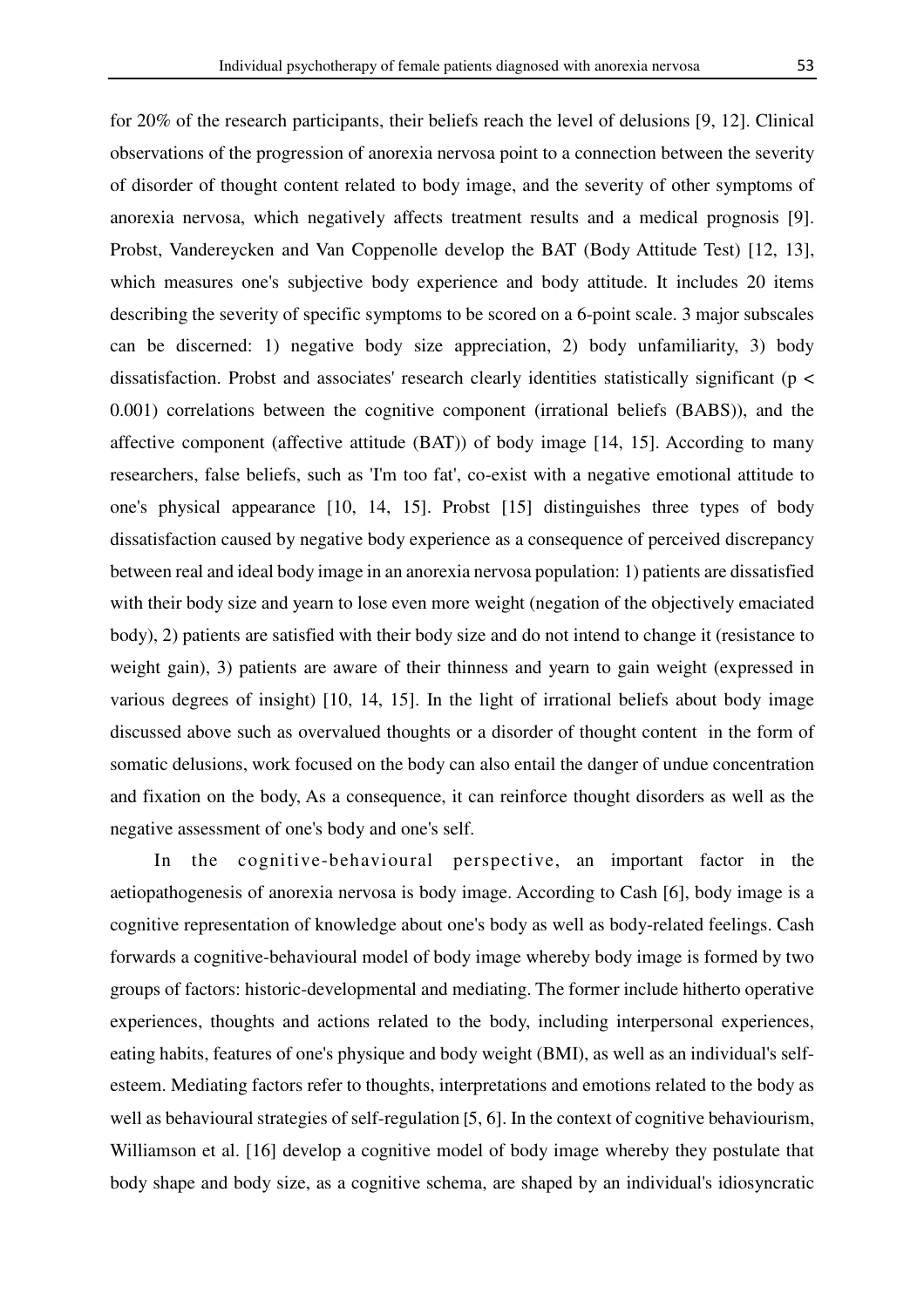for 20% of the research participants, their beliefs reach the level of delusions [9, 12]. Clinical observations of the progression of anorexia nervosa point to a connection between the severity of disorder of thought content related to body image, and the severity of other symptoms of anorexia nervosa, which negatively affects treatment results and a medical prognosis [9]. Probst, Vandereycken and Van Coppenolle develop the BAT (Body Attitude Test) [12, 13], which measures one's subjective body experience and body attitude. It includes 20 items describing the severity of specific symptoms to be scored on a 6-point scale. 3 major subscales can be discerned: 1) negative body size appreciation, 2) body unfamiliarity, 3) body dissatisfaction. Probst and associates' research clearly identities statistically significant (p < 0.001) correlations between the cognitive component (irrational beliefs (BABS)), and the affective component (affective attitude (BAT)) of body image [14, 15]. According to many researchers, false beliefs, such as 'I'm too fat', co-exist with a negative emotional attitude to one's physical appearance [10, 14, 15]. Probst [15] distinguishes three types of body dissatisfaction caused by negative body experience as a consequence of perceived discrepancy between real and ideal body image in an anorexia nervosa population: 1) patients are dissatisfied with their body size and yearn to lose even more weight (negation of the objectively emaciated body), 2) patients are satisfied with their body size and do not intend to change it (resistance to weight gain), 3) patients are aware of their thinness and yearn to gain weight (expressed in various degrees of insight) [10, 14, 15]. In the light of irrational beliefs about body image discussed above such as overvalued thoughts or a disorder of thought content in the form of somatic delusions, work focused on the body can also entail the danger of undue concentration and fixation on the body, As a consequence, it can reinforce thought disorders as well as the negative assessment of one's body and one's self.

In the cognitive-behavioural perspective, an important factor in the aetiopathogenesis of anorexia nervosa is body image. According to Cash [6], body image is a cognitive representation of knowledge about one's body as well as body-related feelings. Cash forwards a cognitive-behavioural model of body image whereby body image is formed by two groups of factors: historic-developmental and mediating. The former include hitherto operative experiences, thoughts and actions related to the body, including interpersonal experiences, eating habits, features of one's physique and body weight (BMI), as well as an individual's selfesteem. Mediating factors refer to thoughts, interpretations and emotions related to the body as well as behavioural strategies of self-regulation [5, 6]. In the context of cognitive behaviourism, Williamson et al. [16] develop a cognitive model of body image whereby they postulate that body shape and body size, as a cognitive schema, are shaped by an individual's idiosyncratic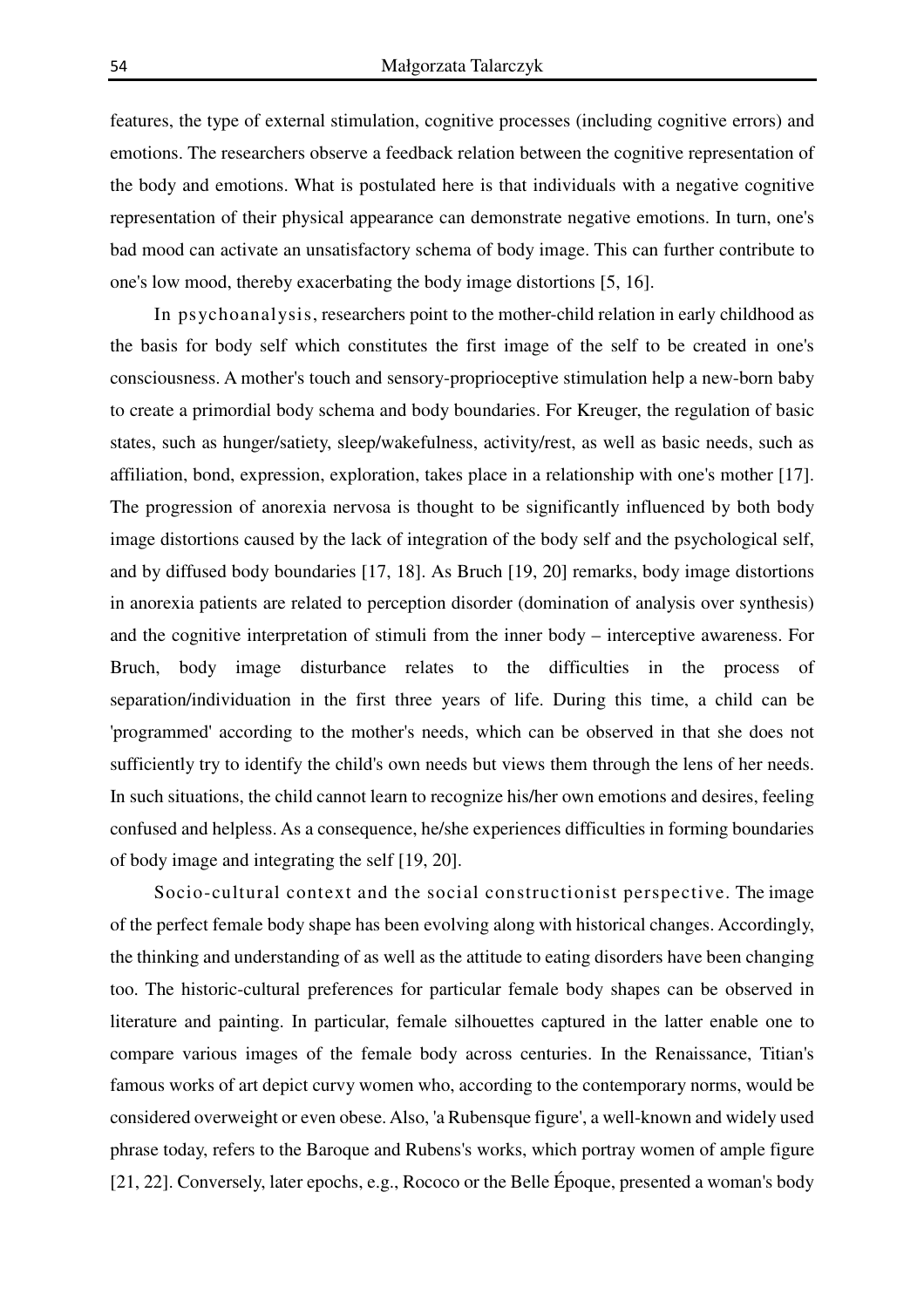features, the type of external stimulation, cognitive processes (including cognitive errors) and emotions. The researchers observe a feedback relation between the cognitive representation of the body and emotions. What is postulated here is that individuals with a negative cognitive representation of their physical appearance can demonstrate negative emotions. In turn, one's bad mood can activate an unsatisfactory schema of body image. This can further contribute to one's low mood, thereby exacerbating the body image distortions [5, 16].

In psychoanalysis, researchers point to the mother-child relation in early childhood as the basis for body self which constitutes the first image of the self to be created in one's consciousness. A mother's touch and sensory-proprioceptive stimulation help a new-born baby to create a primordial body schema and body boundaries. For Kreuger, the regulation of basic states, such as hunger/satiety, sleep/wakefulness, activity/rest, as well as basic needs, such as affiliation, bond, expression, exploration, takes place in a relationship with one's mother [17]. The progression of anorexia nervosa is thought to be significantly influenced by both body image distortions caused by the lack of integration of the body self and the psychological self, and by diffused body boundaries [17, 18]. As Bruch [19, 20] remarks, body image distortions in anorexia patients are related to perception disorder (domination of analysis over synthesis) and the cognitive interpretation of stimuli from the inner body – interceptive awareness. For Bruch, body image disturbance relates to the difficulties in the process of separation/individuation in the first three years of life. During this time, a child can be 'programmed' according to the mother's needs, which can be observed in that she does not sufficiently try to identify the child's own needs but views them through the lens of her needs. In such situations, the child cannot learn to recognize his/her own emotions and desires, feeling confused and helpless. As a consequence, he/she experiences difficulties in forming boundaries of body image and integrating the self [19, 20].

Socio-cultural context and the social constructionist perspective. The image of the perfect female body shape has been evolving along with historical changes. Accordingly, the thinking and understanding of as well as the attitude to eating disorders have been changing too. The historic-cultural preferences for particular female body shapes can be observed in literature and painting. In particular, female silhouettes captured in the latter enable one to compare various images of the female body across centuries. In the Renaissance, Titian's famous works of art depict curvy women who, according to the contemporary norms, would be considered overweight or even obese. Also, 'a Rubensque figure', a well-known and widely used phrase today, refers to the Baroque and Rubens's works, which portray women of ample figure [21, 22]. Conversely, later epochs, e.g., Rococo or the Belle Époque, presented a woman's body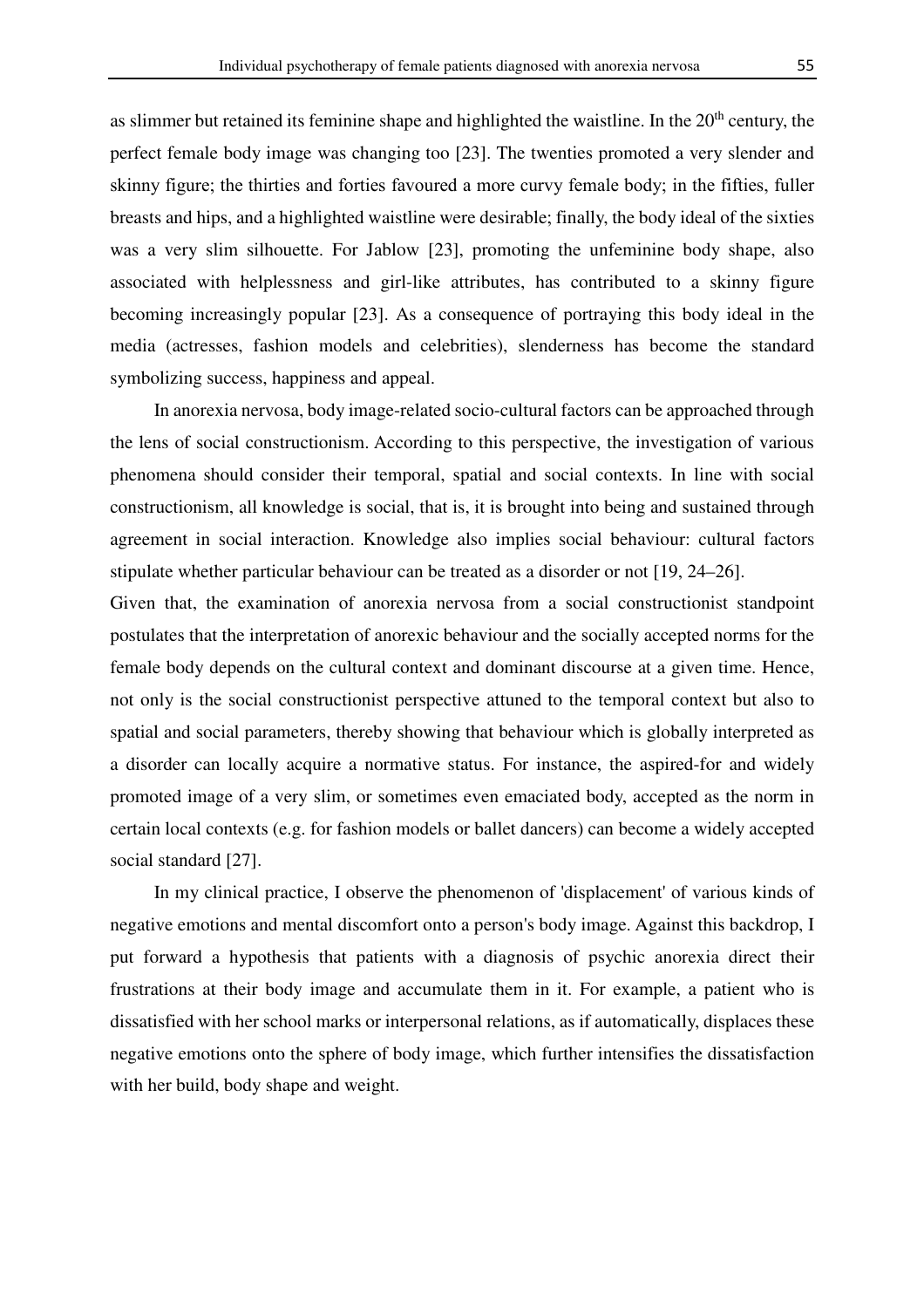as slimmer but retained its feminine shape and highlighted the waistline. In the 20<sup>th</sup> century, the perfect female body image was changing too [23]. The twenties promoted a very slender and skinny figure; the thirties and forties favoured a more curvy female body; in the fifties, fuller breasts and hips, and a highlighted waistline were desirable; finally, the body ideal of the sixties was a very slim silhouette. For Jablow [23], promoting the unfeminine body shape, also associated with helplessness and girl-like attributes, has contributed to a skinny figure becoming increasingly popular [23]. As a consequence of portraying this body ideal in the media (actresses, fashion models and celebrities), slenderness has become the standard symbolizing success, happiness and appeal.

In anorexia nervosa, body image-related socio-cultural factors can be approached through the lens of social constructionism. According to this perspective, the investigation of various phenomena should consider their temporal, spatial and social contexts. In line with social constructionism, all knowledge is social, that is, it is brought into being and sustained through agreement in social interaction. Knowledge also implies social behaviour: cultural factors stipulate whether particular behaviour can be treated as a disorder or not [19, 24–26].

Given that, the examination of anorexia nervosa from a social constructionist standpoint postulates that the interpretation of anorexic behaviour and the socially accepted norms for the female body depends on the cultural context and dominant discourse at a given time. Hence, not only is the social constructionist perspective attuned to the temporal context but also to spatial and social parameters, thereby showing that behaviour which is globally interpreted as a disorder can locally acquire a normative status. For instance, the aspired-for and widely promoted image of a very slim, or sometimes even emaciated body, accepted as the norm in certain local contexts (e.g. for fashion models or ballet dancers) can become a widely accepted social standard [27].

In my clinical practice, I observe the phenomenon of 'displacement' of various kinds of negative emotions and mental discomfort onto a person's body image. Against this backdrop, I put forward a hypothesis that patients with a diagnosis of psychic anorexia direct their frustrations at their body image and accumulate them in it. For example, a patient who is dissatisfied with her school marks or interpersonal relations, as if automatically, displaces these negative emotions onto the sphere of body image, which further intensifies the dissatisfaction with her build, body shape and weight.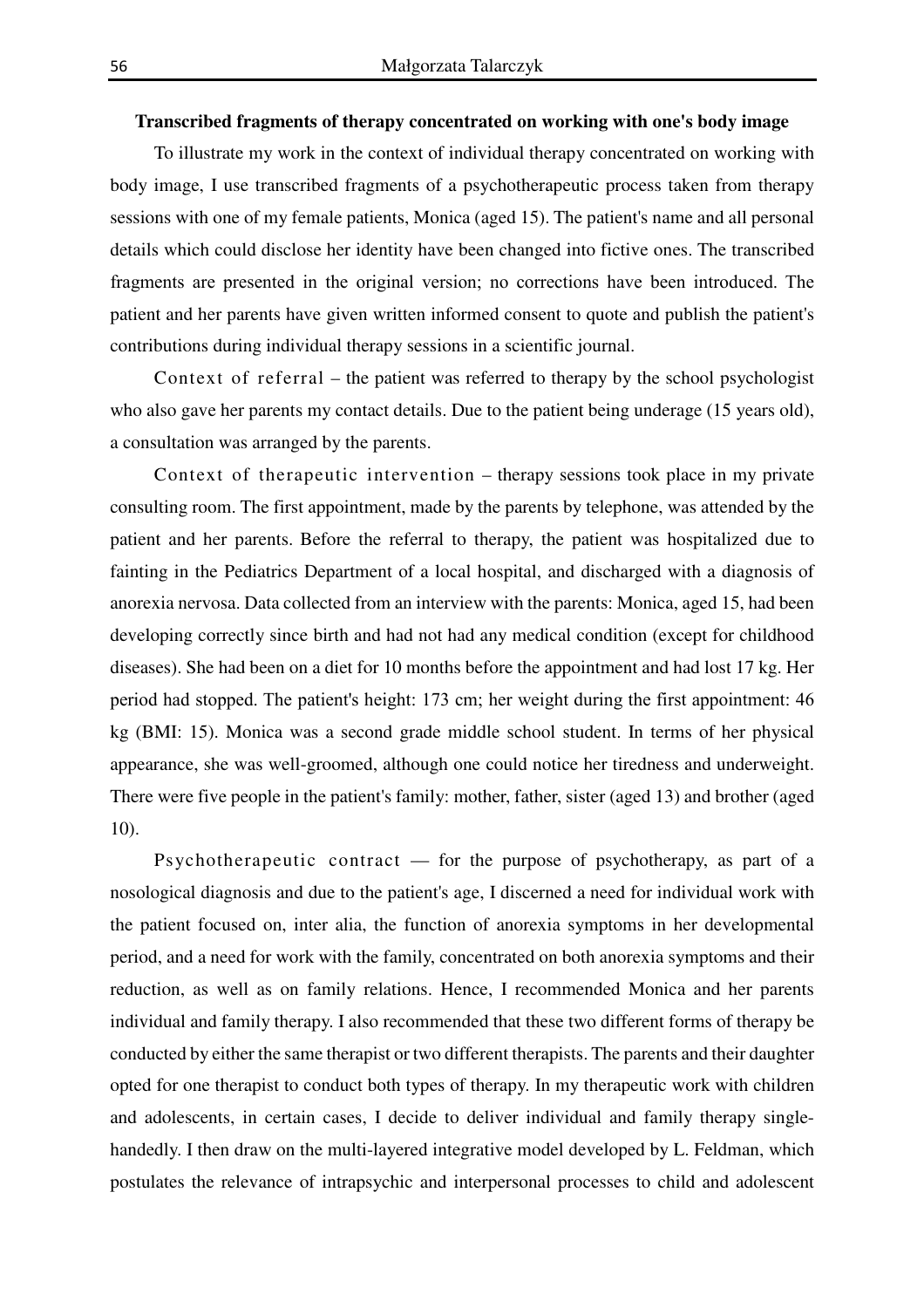## **Transcribed fragments of therapy concentrated on working with one's body image**

To illustrate my work in the context of individual therapy concentrated on working with body image, I use transcribed fragments of a psychotherapeutic process taken from therapy sessions with one of my female patients, Monica (aged 15). The patient's name and all personal details which could disclose her identity have been changed into fictive ones. The transcribed fragments are presented in the original version; no corrections have been introduced. The patient and her parents have given written informed consent to quote and publish the patient's contributions during individual therapy sessions in a scientific journal.

Context of referral – the patient was referred to therapy by the school psychologist who also gave her parents my contact details. Due to the patient being underage (15 years old), a consultation was arranged by the parents.

Context of therapeutic intervention – therapy sessions took place in my private consulting room. The first appointment, made by the parents by telephone, was attended by the patient and her parents. Before the referral to therapy, the patient was hospitalized due to fainting in the Pediatrics Department of a local hospital, and discharged with a diagnosis of anorexia nervosa. Data collected from an interview with the parents: Monica, aged 15, had been developing correctly since birth and had not had any medical condition (except for childhood diseases). She had been on a diet for 10 months before the appointment and had lost 17 kg. Her period had stopped. The patient's height: 173 cm; her weight during the first appointment: 46 kg (BMI: 15). Monica was a second grade middle school student. In terms of her physical appearance, she was well-groomed, although one could notice her tiredness and underweight. There were five people in the patient's family: mother, father, sister (aged 13) and brother (aged 10).

Psychotherapeutic contract  $-$  for the purpose of psychotherapy, as part of a nosological diagnosis and due to the patient's age, I discerned a need for individual work with the patient focused on, inter alia, the function of anorexia symptoms in her developmental period, and a need for work with the family, concentrated on both anorexia symptoms and their reduction, as well as on family relations. Hence, I recommended Monica and her parents individual and family therapy. I also recommended that these two different forms of therapy be conducted by either the same therapist or two different therapists. The parents and their daughter opted for one therapist to conduct both types of therapy. In my therapeutic work with children and adolescents, in certain cases, I decide to deliver individual and family therapy singlehandedly. I then draw on the multi-layered integrative model developed by L. Feldman, which postulates the relevance of intrapsychic and interpersonal processes to child and adolescent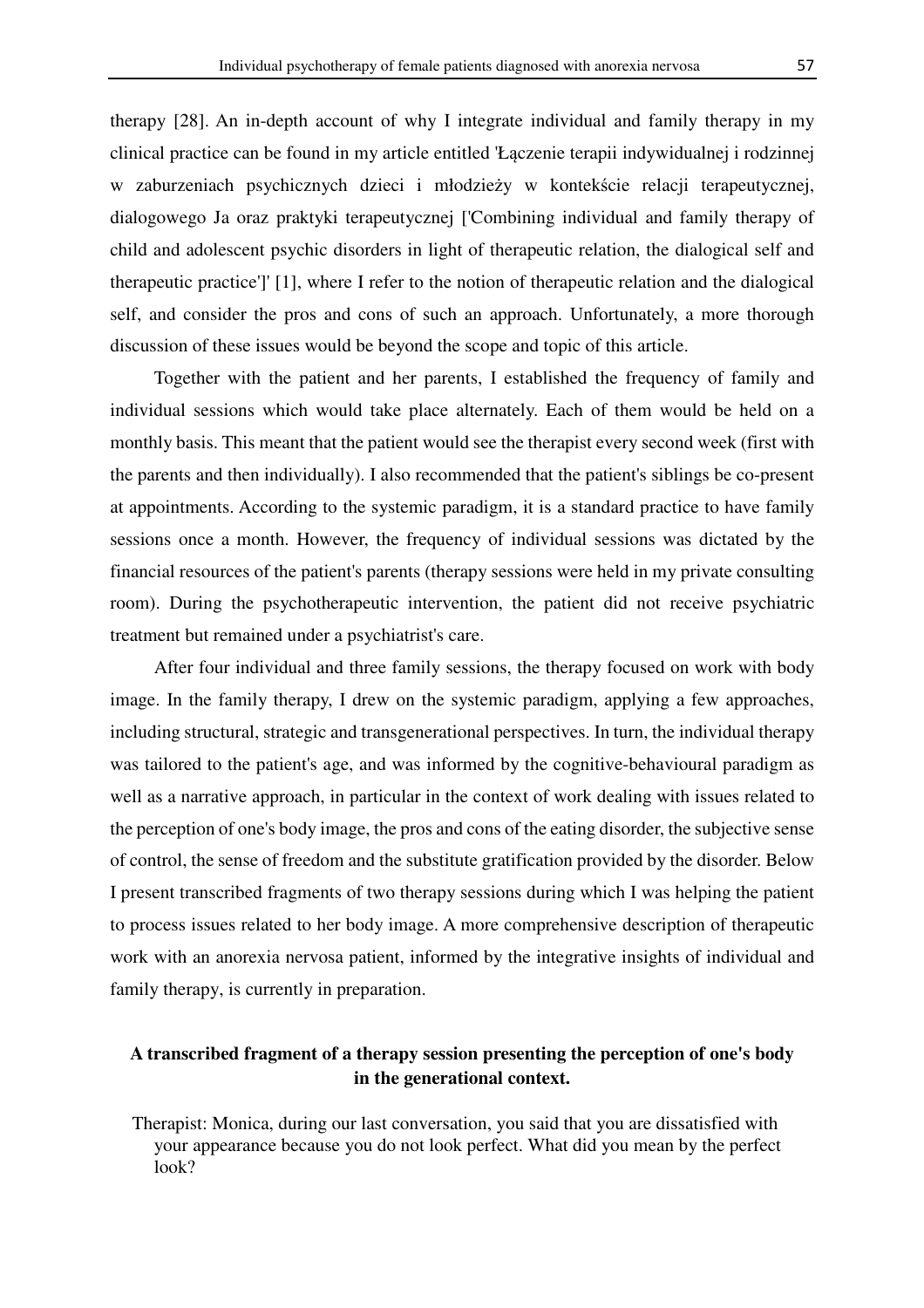therapy [28]. An in-depth account of why I integrate individual and family therapy in my clinical practice can be found in my article entitled 'Łączenie terapii indywidualnej i rodzinnej w zaburzeniach psychicznych dzieci i młodzieży w kontekście relacji terapeutycznej, dialogowego Ja oraz praktyki terapeutycznej ['Combining individual and family therapy of child and adolescent psychic disorders in light of therapeutic relation, the dialogical self and therapeutic practice']' [1], where I refer to the notion of therapeutic relation and the dialogical self, and consider the pros and cons of such an approach. Unfortunately, a more thorough discussion of these issues would be beyond the scope and topic of this article.

Together with the patient and her parents, I established the frequency of family and individual sessions which would take place alternately. Each of them would be held on a monthly basis. This meant that the patient would see the therapist every second week (first with the parents and then individually). I also recommended that the patient's siblings be co-present at appointments. According to the systemic paradigm, it is a standard practice to have family sessions once a month. However, the frequency of individual sessions was dictated by the financial resources of the patient's parents (therapy sessions were held in my private consulting room). During the psychotherapeutic intervention, the patient did not receive psychiatric treatment but remained under a psychiatrist's care.

After four individual and three family sessions, the therapy focused on work with body image. In the family therapy, I drew on the systemic paradigm, applying a few approaches, including structural, strategic and transgenerational perspectives. In turn, the individual therapy was tailored to the patient's age, and was informed by the cognitive-behavioural paradigm as well as a narrative approach, in particular in the context of work dealing with issues related to the perception of one's body image, the pros and cons of the eating disorder, the subjective sense of control, the sense of freedom and the substitute gratification provided by the disorder. Below I present transcribed fragments of two therapy sessions during which I was helping the patient to process issues related to her body image. A more comprehensive description of therapeutic work with an anorexia nervosa patient, informed by the integrative insights of individual and family therapy, is currently in preparation.

# **A transcribed fragment of a therapy session presenting the perception of one's body in the generational context.**

Therapist: Monica, during our last conversation, you said that you are dissatisfied with your appearance because you do not look perfect. What did you mean by the perfect look?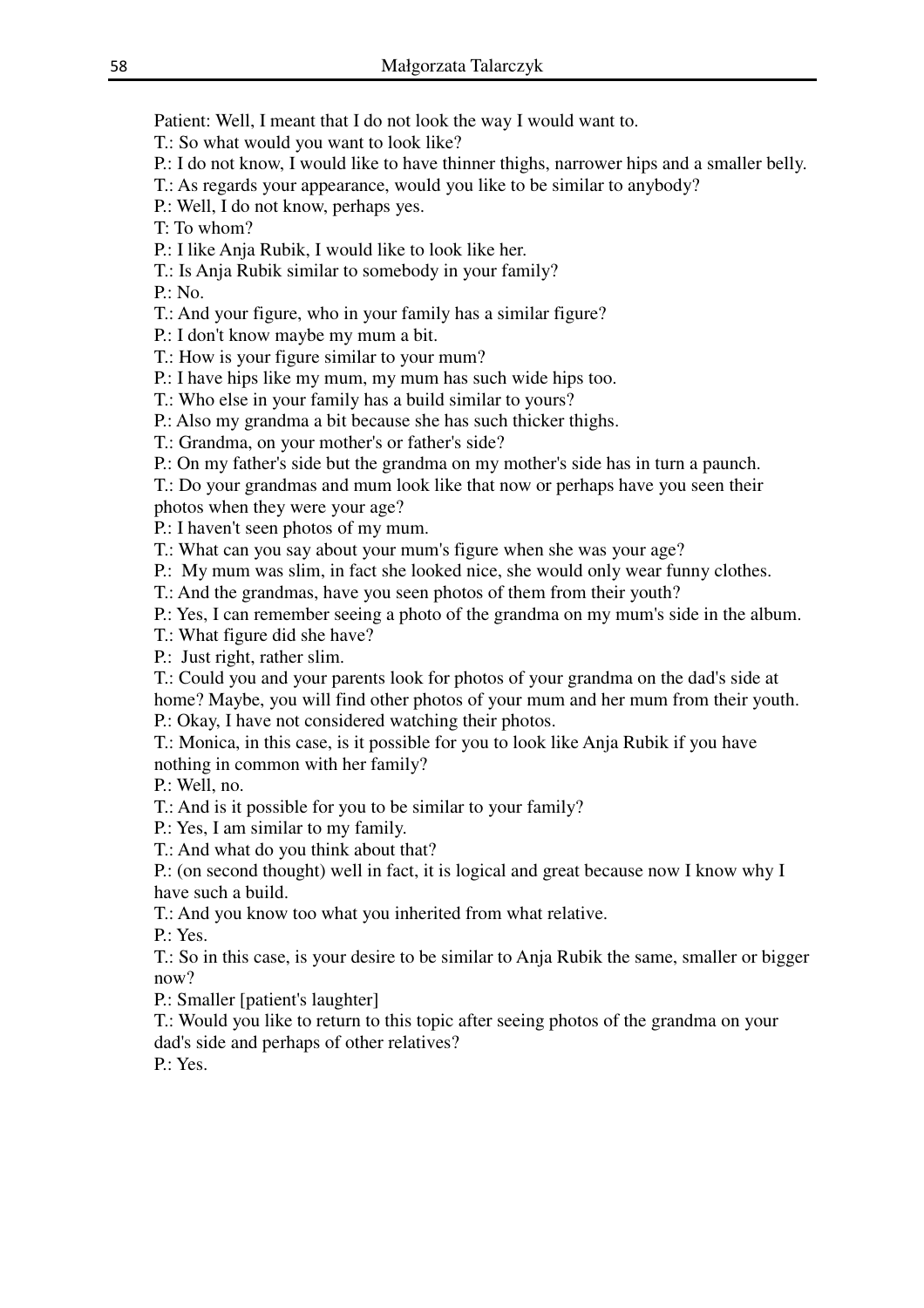Patient: Well, I meant that I do not look the way I would want to.

T.: So what would you want to look like?

- P.: I do not know, I would like to have thinner thighs, narrower hips and a smaller belly.
- T.: As regards your appearance, would you like to be similar to anybody?

P.: Well, I do not know, perhaps yes.

T: To whom?

P.: I like Anja Rubik, I would like to look like her.

T.: Is Anja Rubik similar to somebody in your family?

P.: No.

T.: And your figure, who in your family has a similar figure?

P.: I don't know maybe my mum a bit.

T.: How is your figure similar to your mum?

P.: I have hips like my mum, my mum has such wide hips too.

T.: Who else in your family has a build similar to yours?

P.: Also my grandma a bit because she has such thicker thighs.

T.: Grandma, on your mother's or father's side?

P.: On my father's side but the grandma on my mother's side has in turn a paunch.

T.: Do your grandmas and mum look like that now or perhaps have you seen their photos when they were your age?

P.: I haven't seen photos of my mum.

T.: What can you say about your mum's figure when she was your age?

P.: My mum was slim, in fact she looked nice, she would only wear funny clothes.

T.: And the grandmas, have you seen photos of them from their youth?

P.: Yes, I can remember seeing a photo of the grandma on my mum's side in the album.

T.: What figure did she have?

P.: Just right, rather slim.

T.: Could you and your parents look for photos of your grandma on the dad's side at home? Maybe, you will find other photos of your mum and her mum from their youth.

P.: Okay, I have not considered watching their photos.

T.: Monica, in this case, is it possible for you to look like Anja Rubik if you have nothing in common with her family?

P.: Well, no.

T.: And is it possible for you to be similar to your family?

P.: Yes, I am similar to my family.

T.: And what do you think about that?

P.: (on second thought) well in fact, it is logical and great because now I know why I have such a build.

T.: And you know too what you inherited from what relative.

P.: Yes.

T.: So in this case, is your desire to be similar to Anja Rubik the same, smaller or bigger now?

P.: Smaller [patient's laughter]

T.: Would you like to return to this topic after seeing photos of the grandma on your dad's side and perhaps of other relatives?

P.: Yes.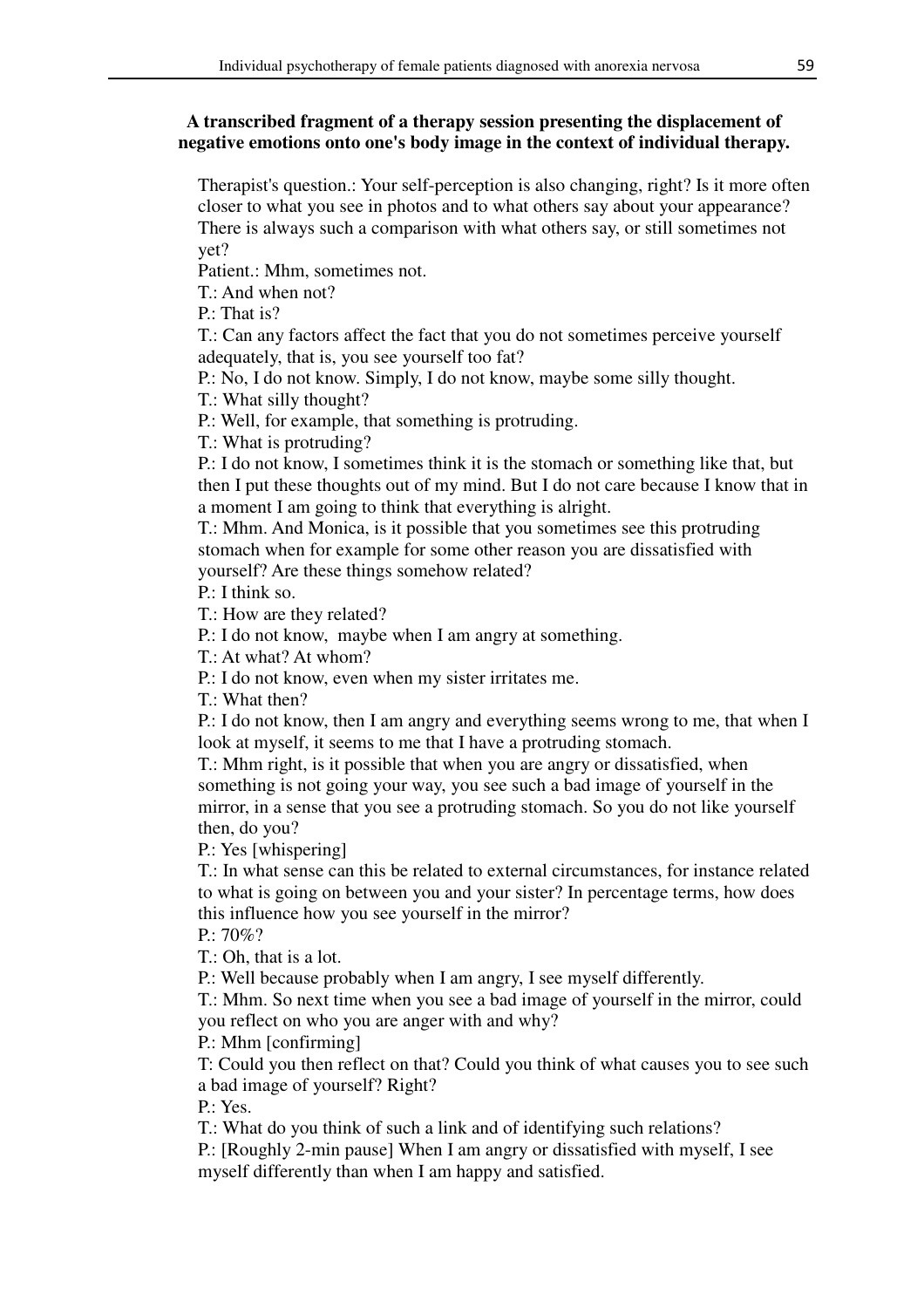# **A transcribed fragment of a therapy session presenting the displacement of negative emotions onto one's body image in the context of individual therapy.**

Therapist's question.: Your self-perception is also changing, right? Is it more often closer to what you see in photos and to what others say about your appearance? There is always such a comparison with what others say, or still sometimes not yet?

Patient.: Mhm, sometimes not.

T.: And when not?

P.: That is?

T.: Can any factors affect the fact that you do not sometimes perceive yourself adequately, that is, you see yourself too fat?

P.: No, I do not know. Simply, I do not know, maybe some silly thought.

T.: What silly thought?

P.: Well, for example, that something is protruding.

T.: What is protruding?

P.: I do not know, I sometimes think it is the stomach or something like that, but then I put these thoughts out of my mind. But I do not care because I know that in a moment I am going to think that everything is alright.

T.: Mhm. And Monica, is it possible that you sometimes see this protruding stomach when for example for some other reason you are dissatisfied with yourself? Are these things somehow related?

P.: I think so.

T.: How are they related?

P.: I do not know, maybe when I am angry at something.

T.: At what? At whom?

P.: I do not know, even when my sister irritates me.

T.: What then?

P.: I do not know, then I am angry and everything seems wrong to me, that when I look at myself, it seems to me that I have a protruding stomach.

T.: Mhm right, is it possible that when you are angry or dissatisfied, when something is not going your way, you see such a bad image of yourself in the mirror, in a sense that you see a protruding stomach. So you do not like yourself then, do you?

P.: Yes [whispering]

T.: In what sense can this be related to external circumstances, for instance related to what is going on between you and your sister? In percentage terms, how does this influence how you see yourself in the mirror?

P.: 70%?

T.: Oh, that is a lot.

P.: Well because probably when I am angry, I see myself differently.

T.: Mhm. So next time when you see a bad image of yourself in the mirror, could you reflect on who you are anger with and why?

P.: Mhm [confirming]

T: Could you then reflect on that? Could you think of what causes you to see such a bad image of yourself? Right?

P.: Yes.

T.: What do you think of such a link and of identifying such relations?

P.: [Roughly 2-min pause] When I am angry or dissatisfied with myself, I see myself differently than when I am happy and satisfied.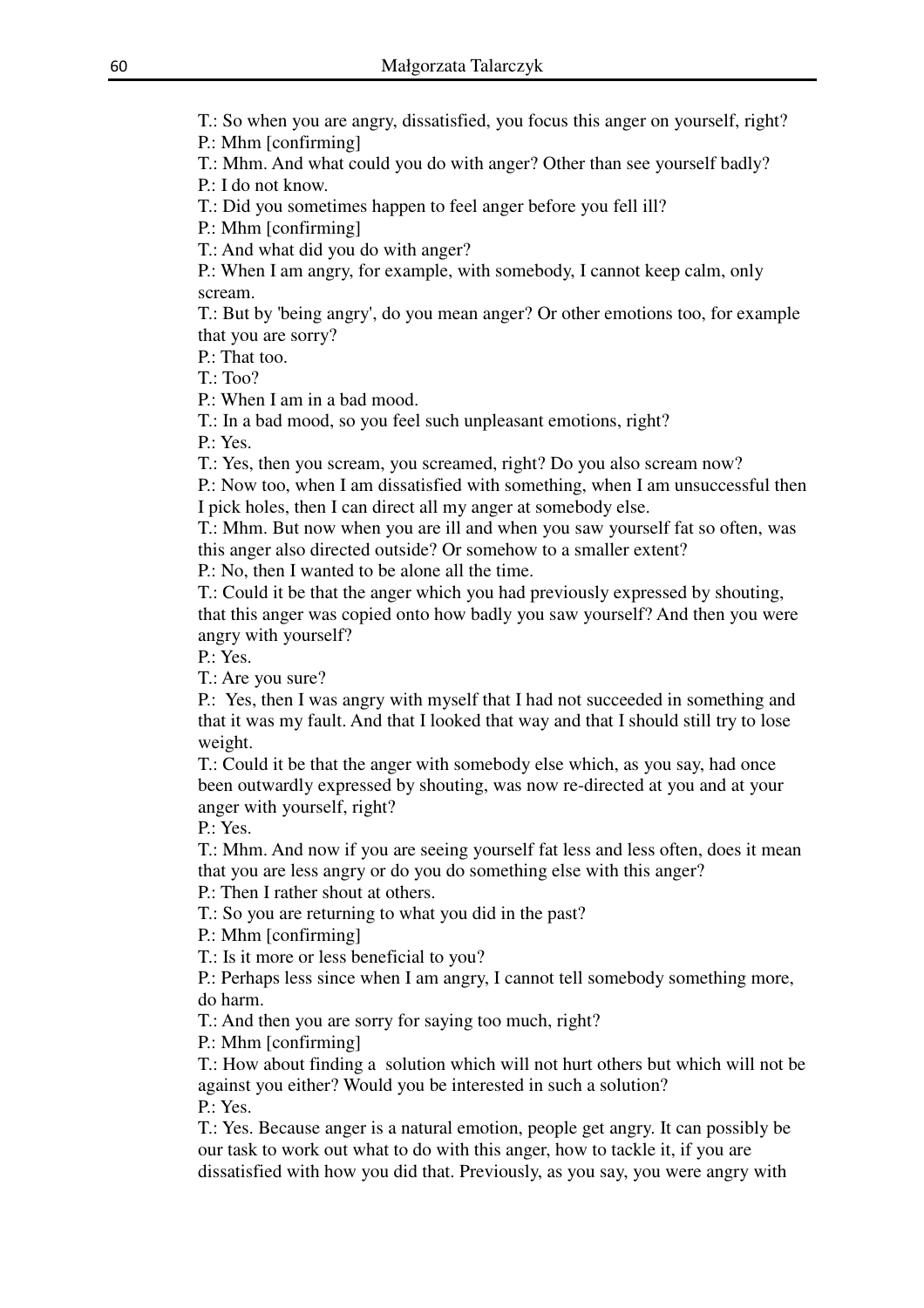T.: So when you are angry, dissatisfied, you focus this anger on yourself, right?

P.: Mhm [confirming]

T.: Mhm. And what could you do with anger? Other than see yourself badly?

P.: I do not know.

T.: Did you sometimes happen to feel anger before you fell ill?

P.: Mhm [confirming]

T.: And what did you do with anger?

P.: When I am angry, for example, with somebody, I cannot keep calm, only scream.

T.: But by 'being angry', do you mean anger? Or other emotions too, for example that you are sorry?

P.: That too.

T.: Too?

P.: When I am in a bad mood.

T.: In a bad mood, so you feel such unpleasant emotions, right?

P.: Yes.

T.: Yes, then you scream, you screamed, right? Do you also scream now?

P.: Now too, when I am dissatisfied with something, when I am unsuccessful then I pick holes, then I can direct all my anger at somebody else.

T.: Mhm. But now when you are ill and when you saw yourself fat so often, was this anger also directed outside? Or somehow to a smaller extent?

P.: No, then I wanted to be alone all the time.

T.: Could it be that the anger which you had previously expressed by shouting, that this anger was copied onto how badly you saw yourself? And then you were angry with yourself?

P.: Yes.

T.: Are you sure?

P.: Yes, then I was angry with myself that I had not succeeded in something and that it was my fault. And that I looked that way and that I should still try to lose weight.

T.: Could it be that the anger with somebody else which, as you say, had once been outwardly expressed by shouting, was now re-directed at you and at your anger with yourself, right?

P.: Yes.

T.: Mhm. And now if you are seeing yourself fat less and less often, does it mean that you are less angry or do you do something else with this anger?

P.: Then I rather shout at others.

T.: So you are returning to what you did in the past?

P.: Mhm [confirming]

T.: Is it more or less beneficial to you?

P.: Perhaps less since when I am angry, I cannot tell somebody something more, do harm.

T.: And then you are sorry for saying too much, right?

P.: Mhm [confirming]

T.: How about finding a solution which will not hurt others but which will not be against you either? Would you be interested in such a solution? P.: Yes.

T.: Yes. Because anger is a natural emotion, people get angry. It can possibly be our task to work out what to do with this anger, how to tackle it, if you are dissatisfied with how you did that. Previously, as you say, you were angry with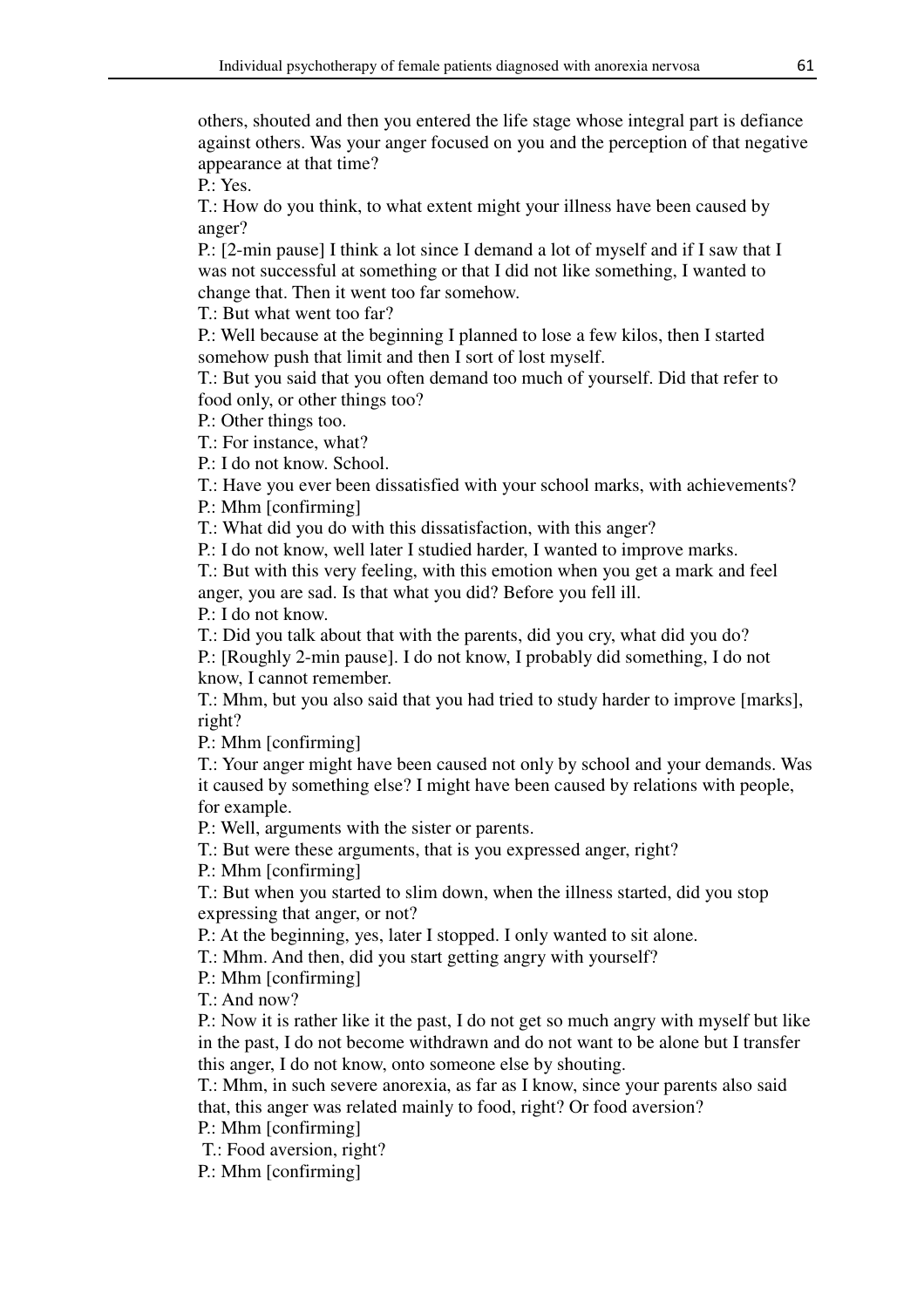others, shouted and then you entered the life stage whose integral part is defiance against others. Was your anger focused on you and the perception of that negative appearance at that time?

P.: Yes.

T.: How do you think, to what extent might your illness have been caused by anger?

P.: [2-min pause] I think a lot since I demand a lot of myself and if I saw that I was not successful at something or that I did not like something, I wanted to change that. Then it went too far somehow.

T.: But what went too far?

P.: Well because at the beginning I planned to lose a few kilos, then I started somehow push that limit and then I sort of lost myself.

T.: But you said that you often demand too much of yourself. Did that refer to food only, or other things too?

P.: Other things too.

T.: For instance, what?

P.: I do not know. School.

T.: Have you ever been dissatisfied with your school marks, with achievements?

P.: Mhm [confirming]

T.: What did you do with this dissatisfaction, with this anger?

P.: I do not know, well later I studied harder, I wanted to improve marks.

T.: But with this very feeling, with this emotion when you get a mark and feel anger, you are sad. Is that what you did? Before you fell ill.

P.: I do not know.

T.: Did you talk about that with the parents, did you cry, what did you do?

P.: [Roughly 2-min pause]. I do not know, I probably did something, I do not know, I cannot remember.

T.: Mhm, but you also said that you had tried to study harder to improve [marks], right?

P.: Mhm [confirming]

T.: Your anger might have been caused not only by school and your demands. Was it caused by something else? I might have been caused by relations with people, for example.

P.: Well, arguments with the sister or parents.

T.: But were these arguments, that is you expressed anger, right?

P.: Mhm [confirming]

T.: But when you started to slim down, when the illness started, did you stop expressing that anger, or not?

P.: At the beginning, yes, later I stopped. I only wanted to sit alone.

T.: Mhm. And then, did you start getting angry with yourself?

P.: Mhm [confirming]

T.: And now?

P.: Now it is rather like it the past, I do not get so much angry with myself but like in the past, I do not become withdrawn and do not want to be alone but I transfer this anger, I do not know, onto someone else by shouting.

T.: Mhm, in such severe anorexia, as far as I know, since your parents also said that, this anger was related mainly to food, right? Or food aversion?

P.: Mhm [confirming]

T.: Food aversion, right?

P.: Mhm [confirming]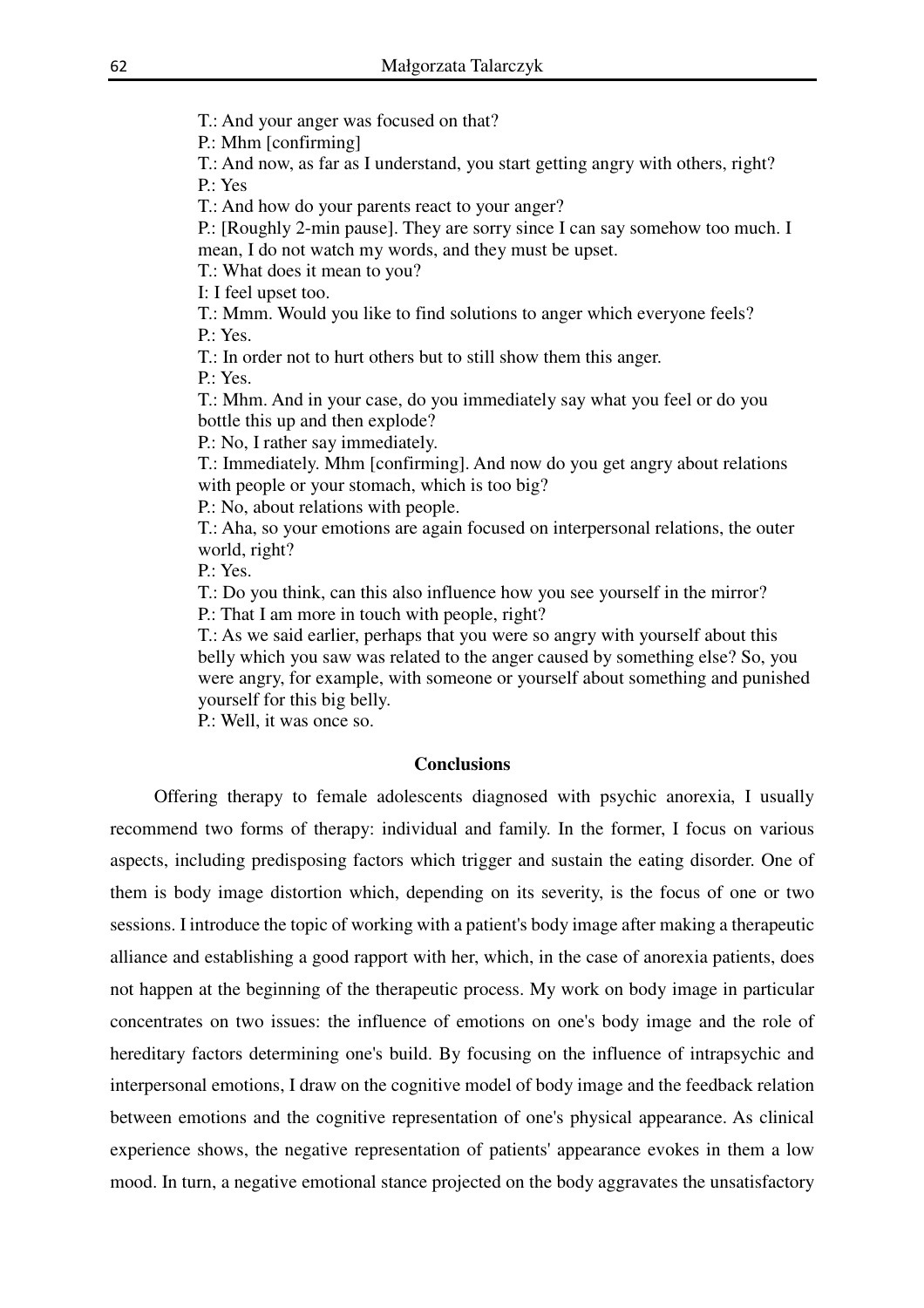T.: And your anger was focused on that?

P.: Mhm [confirming]

T.: And now, as far as I understand, you start getting angry with others, right? P.: Yes

T.: And how do your parents react to your anger?

P.: [Roughly 2-min pause]. They are sorry since I can say somehow too much. I mean, I do not watch my words, and they must be upset.

T.: What does it mean to you?

I: I feel upset too.

T.: Mmm. Would you like to find solutions to anger which everyone feels?

P.: Yes.

T.: In order not to hurt others but to still show them this anger.

P.: Yes.

T.: Mhm. And in your case, do you immediately say what you feel or do you bottle this up and then explode?

P.: No, I rather say immediately.

T.: Immediately. Mhm [confirming]. And now do you get angry about relations with people or your stomach, which is too big?

P.: No, about relations with people.

T.: Aha, so your emotions are again focused on interpersonal relations, the outer world, right?

P.: Yes.

T.: Do you think, can this also influence how you see yourself in the mirror? P.: That I am more in touch with people, right?

T.: As we said earlier, perhaps that you were so angry with yourself about this belly which you saw was related to the anger caused by something else? So, you

were angry, for example, with someone or yourself about something and punished yourself for this big belly.

P.: Well, it was once so.

# **Conclusions**

Offering therapy to female adolescents diagnosed with psychic anorexia, I usually recommend two forms of therapy: individual and family. In the former, I focus on various aspects, including predisposing factors which trigger and sustain the eating disorder. One of them is body image distortion which, depending on its severity, is the focus of one or two sessions. I introduce the topic of working with a patient's body image after making a therapeutic alliance and establishing a good rapport with her, which, in the case of anorexia patients, does not happen at the beginning of the therapeutic process. My work on body image in particular concentrates on two issues: the influence of emotions on one's body image and the role of hereditary factors determining one's build. By focusing on the influence of intrapsychic and interpersonal emotions, I draw on the cognitive model of body image and the feedback relation between emotions and the cognitive representation of one's physical appearance. As clinical experience shows, the negative representation of patients' appearance evokes in them a low mood. In turn, a negative emotional stance projected on the body aggravates the unsatisfactory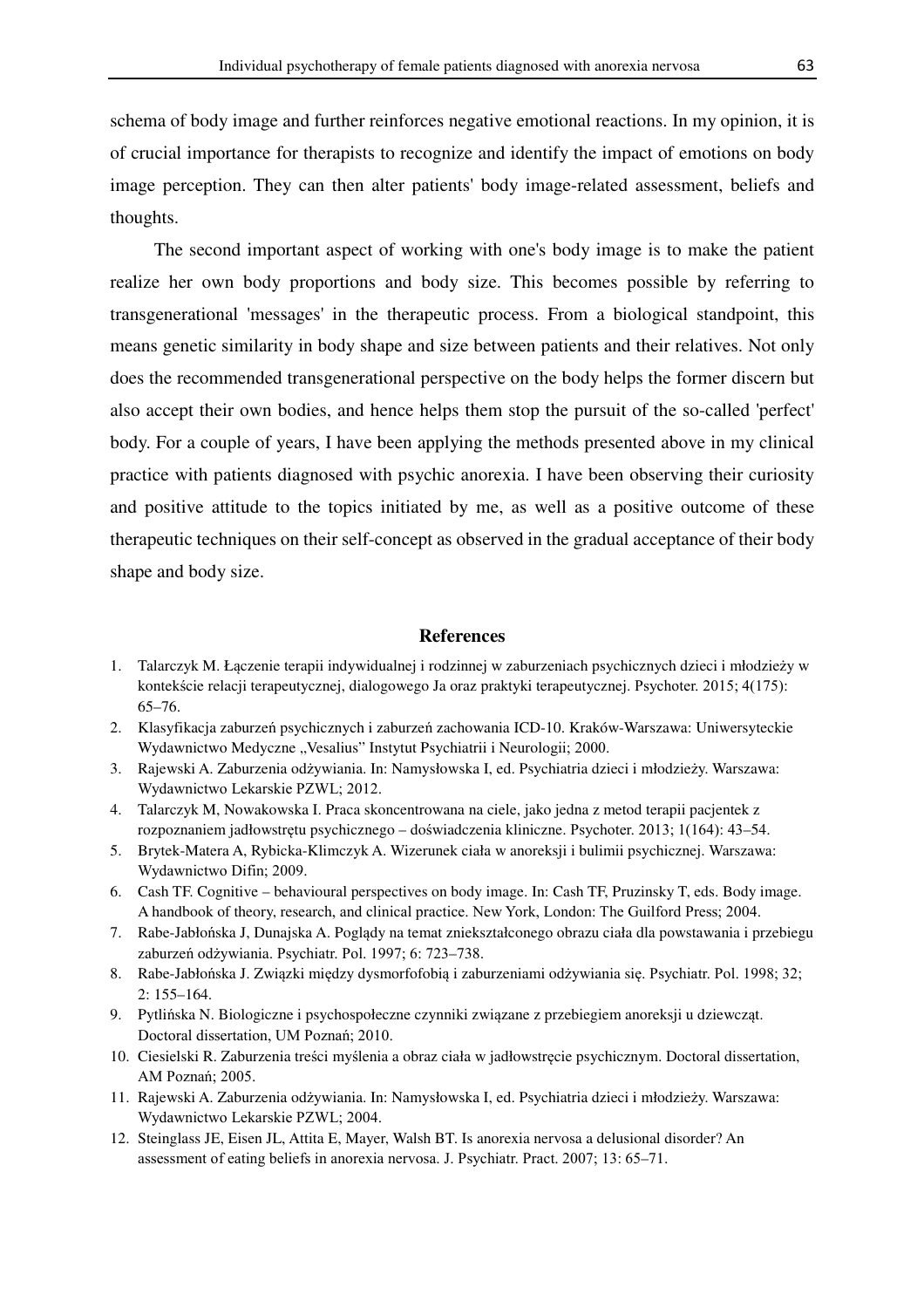schema of body image and further reinforces negative emotional reactions. In my opinion, it is of crucial importance for therapists to recognize and identify the impact of emotions on body image perception. They can then alter patients' body image-related assessment, beliefs and thoughts.

The second important aspect of working with one's body image is to make the patient realize her own body proportions and body size. This becomes possible by referring to transgenerational 'messages' in the therapeutic process. From a biological standpoint, this means genetic similarity in body shape and size between patients and their relatives. Not only does the recommended transgenerational perspective on the body helps the former discern but also accept their own bodies, and hence helps them stop the pursuit of the so-called 'perfect' body. For a couple of years, I have been applying the methods presented above in my clinical practice with patients diagnosed with psychic anorexia. I have been observing their curiosity and positive attitude to the topics initiated by me, as well as a positive outcome of these therapeutic techniques on their self-concept as observed in the gradual acceptance of their body shape and body size.

#### **References**

- 1. Talarczyk M. Łączenie terapii indywidualnej i rodzinnej w zaburzeniach psychicznych dzieci i młodzieży w kontekście relacji terapeutycznej, dialogowego Ja oraz praktyki terapeutycznej. Psychoter. 2015; 4(175): 65–76.
- 2. Klasyfikacja zaburzeń psychicznych i zaburzeń zachowania ICD-10. Kraków-Warszawa: Uniwersyteckie Wydawnictwo Medyczne "Vesalius" Instytut Psychiatrii i Neurologii; 2000.
- 3. Rajewski A. Zaburzenia odżywiania. In: Namysłowska I, ed. Psychiatria dzieci i młodzieży. Warszawa: Wydawnictwo Lekarskie PZWL; 2012.
- 4. Talarczyk M, Nowakowska I. Praca skoncentrowana na ciele, jako jedna z metod terapii pacjentek z rozpoznaniem jadłowstrętu psychicznego – doświadczenia kliniczne. Psychoter. 2013; 1(164): 43–54.
- 5. Brytek-Matera A, Rybicka-Klimczyk A. Wizerunek ciała w anoreksji i bulimii psychicznej. Warszawa: Wydawnictwo Difin; 2009.
- 6. Cash TF. Cognitive behavioural perspectives on body image. In: Cash TF, Pruzinsky T, eds. Body image. A handbook of theory, research, and clinical practice. New York, London: The Guilford Press; 2004.
- 7. Rabe-Jabłońska J, Dunajska A. Poglądy na temat zniekształconego obrazu ciała dla powstawania i przebiegu zaburzeń odżywiania. Psychiatr. Pol. 1997; 6: 723–738.
- 8. Rabe-Jabłońska J. Związki między dysmorfofobią i zaburzeniami odżywiania się. Psychiatr. Pol. 1998; 32; 2: 155–164.
- 9. Pytlińska N. Biologiczne i psychospołeczne czynniki związane z przebiegiem anoreksji u dziewcząt. Doctoral dissertation, UM Poznań; 2010.
- 10. Ciesielski R. Zaburzenia treści myślenia a obraz ciała w jadłowstręcie psychicznym. Doctoral dissertation, AM Poznań; 2005.
- 11. Rajewski A. Zaburzenia odżywiania. In: Namysłowska I, ed. Psychiatria dzieci i młodzieży. Warszawa: Wydawnictwo Lekarskie PZWL; 2004.
- 12. Steinglass JE, Eisen JL, Attita E, Mayer, Walsh BT. Is anorexia nervosa a delusional disorder? An assessment of eating beliefs in anorexia nervosa. J. Psychiatr. Pract. 2007; 13: 65–71.